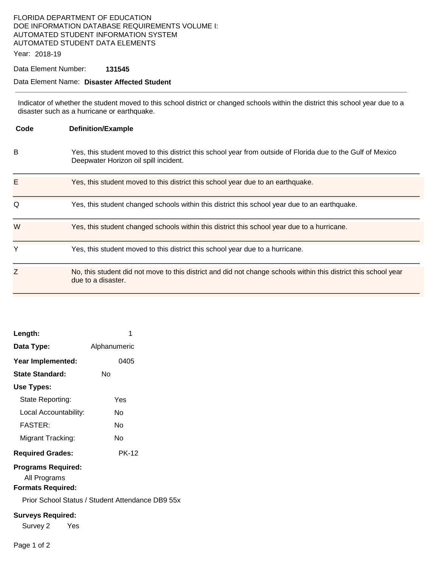# FLORIDA DEPARTMENT OF EDUCATION DOE INFORMATION DATABASE REQUIREMENTS VOLUME I: AUTOMATED STUDENT INFORMATION SYSTEM AUTOMATED STUDENT DATA ELEMENTS

Year: 2018-19

## Data Element Number: **131545**

#### Data Element Name: **Disaster Affected Student**

Indicator of whether the student moved to this school district or changed schools within the district this school year due to a disaster such as a hurricane or earthquake.

| Code | <b>Definition/Example</b>                                                                                                                            |
|------|------------------------------------------------------------------------------------------------------------------------------------------------------|
| B    | Yes, this student moved to this district this school year from outside of Florida due to the Gulf of Mexico<br>Deepwater Horizon oil spill incident. |
| Е    | Yes, this student moved to this district this school year due to an earthquake.                                                                      |
| Q    | Yes, this student changed schools within this district this school year due to an earthquake.                                                        |
| W    | Yes, this student changed schools within this district this school year due to a hurricane.                                                          |
| Y    | Yes, this student moved to this district this school year due to a hurricane.                                                                        |
| Z    | No, this student did not move to this district and did not change schools within this district this school year<br>due to a disaster.                |

| Length:                                                                                                           | 1            |  |  |  |
|-------------------------------------------------------------------------------------------------------------------|--------------|--|--|--|
| Data Type:                                                                                                        | Alphanumeric |  |  |  |
| Year Implemented:                                                                                                 | 0405         |  |  |  |
| State Standard:                                                                                                   | N٥           |  |  |  |
| Use Types:                                                                                                        |              |  |  |  |
| State Reporting:                                                                                                  | Yes          |  |  |  |
| Local Accountability:                                                                                             | N٥           |  |  |  |
| FASTER:                                                                                                           | N٥           |  |  |  |
| Migrant Tracking:                                                                                                 | N٥           |  |  |  |
| <b>Required Grades:</b>                                                                                           | <b>PK-12</b> |  |  |  |
| <b>Programs Required:</b><br>All Programs<br><b>Formats Required:</b><br>Prior School Status / Student Attendance |              |  |  |  |
| <b>Surveys Required:</b><br>Survey 2<br>Yes                                                                       |              |  |  |  |

 $P$  DB9 55x